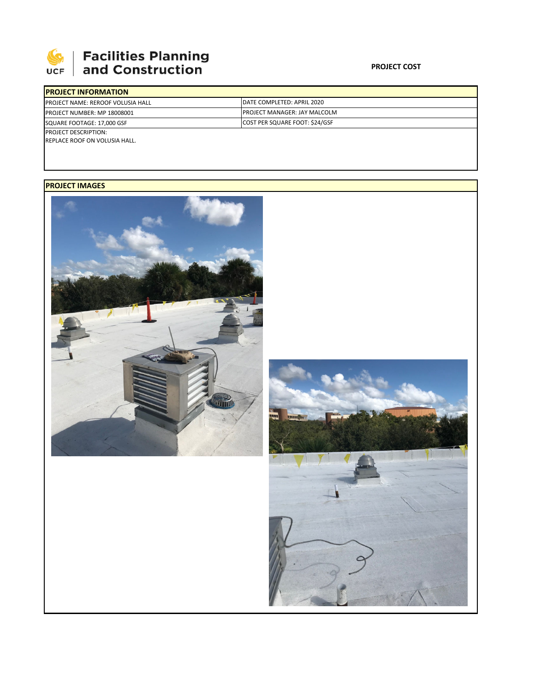

## **SEPTE AND Facilities Planning**<br>UCF and Construction

## **PROJECT COST**

| <b>PROJECT INFORMATION</b>                |                                      |  |  |  |
|-------------------------------------------|--------------------------------------|--|--|--|
| <b>IPROJECT NAME: REROOF VOLUSIA HALL</b> | IDATE COMPLETED: APRIL 2020          |  |  |  |
| <b>PROJECT NUMBER: MP 18008001</b>        | <b>IPROJECT MANAGER: JAY MALCOLM</b> |  |  |  |
| SQUARE FOOTAGE: 17,000 GSF                | COST PER SQUARE FOOT: \$24/GSF       |  |  |  |
| <b>PROJECT DESCRIPTION:</b>               |                                      |  |  |  |
| REPLACE ROOF ON VOLUSIA HALL.             |                                      |  |  |  |

## **PROJECT IMAGES**